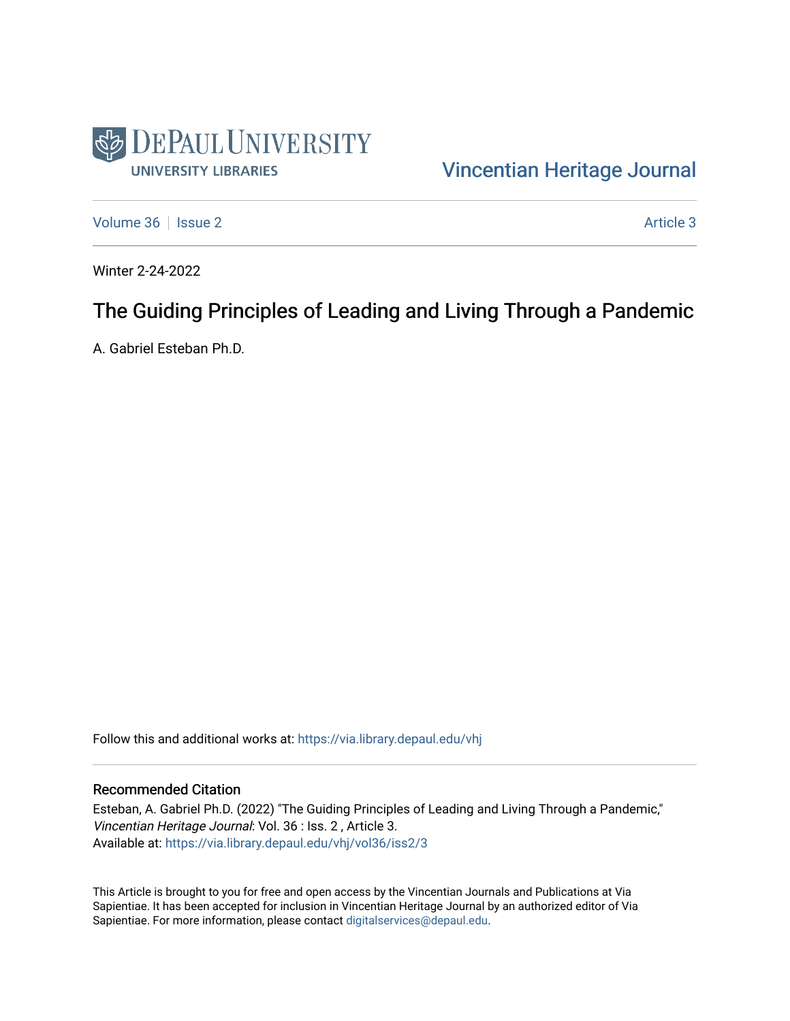

#### [Vincentian Heritage Journal](https://via.library.depaul.edu/vhj)

[Volume 36](https://via.library.depaul.edu/vhj/vol36) | [Issue 2](https://via.library.depaul.edu/vhj/vol36/iss2) Article 3

Winter 2-24-2022

#### The Guiding Principles of Leading and Living Through a Pandemic

A. Gabriel Esteban Ph.D.

Follow this and additional works at: [https://via.library.depaul.edu/vhj](https://via.library.depaul.edu/vhj?utm_source=via.library.depaul.edu%2Fvhj%2Fvol36%2Fiss2%2F3&utm_medium=PDF&utm_campaign=PDFCoverPages) 

#### Recommended Citation

Esteban, A. Gabriel Ph.D. (2022) "The Guiding Principles of Leading and Living Through a Pandemic," Vincentian Heritage Journal: Vol. 36 : Iss. 2 , Article 3. Available at: [https://via.library.depaul.edu/vhj/vol36/iss2/3](https://via.library.depaul.edu/vhj/vol36/iss2/3?utm_source=via.library.depaul.edu%2Fvhj%2Fvol36%2Fiss2%2F3&utm_medium=PDF&utm_campaign=PDFCoverPages) 

This Article is brought to you for free and open access by the Vincentian Journals and Publications at Via Sapientiae. It has been accepted for inclusion in Vincentian Heritage Journal by an authorized editor of Via Sapientiae. For more information, please contact [digitalservices@depaul.edu](mailto:digitalservices@depaul.edu).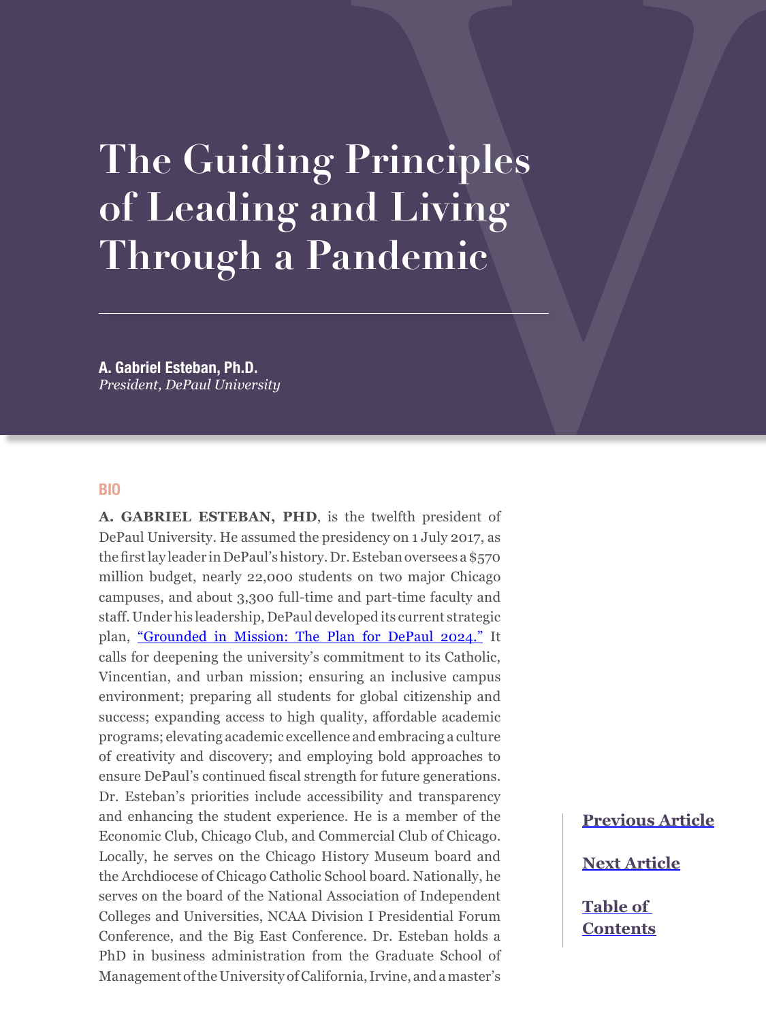# **The Guiding Principles of Leading and Living Through a Pandemic**

**A. Gabriel Esteban, Ph.D.** *President, DePaul University*

#### **BIO**

**A. GABRIEL ESTEBAN, PHD**, is the twelfth president of DePaul University. He assumed the presidency on 1 July 2017, as the first lay leader in DePaul's history. Dr. Esteban oversees a \$570 million budget, nearly 22,000 students on two major Chicago campuses, and about 3,300 full-time and part-time faculty and staff. Under his leadership, DePaul developed its current strategic plan, ["Grounded in Mission: The Plan for DePaul 2024."](https://offices.depaul.edu/president/strategic-directions/grounded-in-mission/Pages/default.aspx) It calls for deepening the university's commitment to its Catholic, Vincentian, and urban mission; ensuring an inclusive campus environment; preparing all students for global citizenship and success; expanding access to high quality, affordable academic programs; elevating academic excellence and embracing a culture of creativity and discovery; and employing bold approaches to ensure DePaul's continued fiscal strength for future generations. Dr. Esteban's priorities include accessibility and transparency and enhancing the student experience. He is a member of the Economic Club, Chicago Club, and Commercial Club of Chicago. Locally, he serves on the Chicago History Museum board and the Archdiocese of Chicago Catholic School board. Nationally, he serves on the board of the National Association of Independent Colleges and Universities, NCAA Division I Presidential Forum Conference, and the Big East Conference. Dr. Esteban holds a PhD in business administration from the Graduate School of Management of the University of California, Irvine, and a master's

## **[Previous Article](#page--1-0)**

**[Next Article](#page--1-0)**

**[Table of](#page--1-0)  [Contents](#page--1-0)**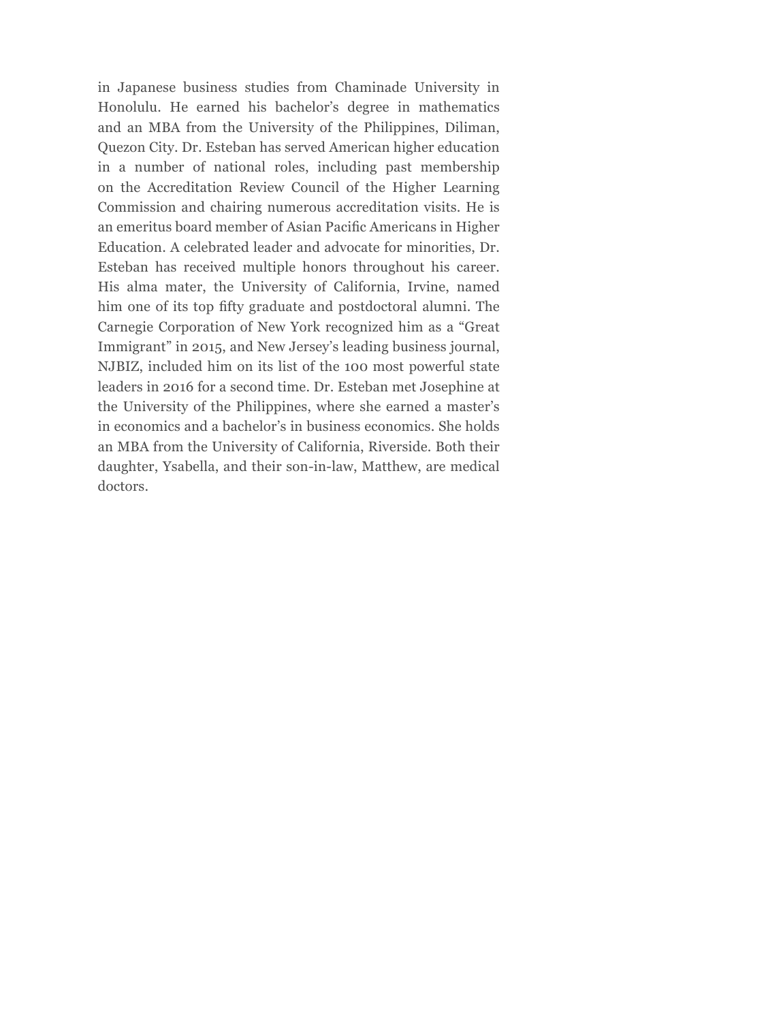in Japanese business studies from Chaminade University in Honolulu. He earned his bachelor's degree in mathematics and an MBA from the University of the Philippines, Diliman, Quezon City. Dr. Esteban has served American higher education in a number of national roles, including past membership on the Accreditation Review Council of the Higher Learning Commission and chairing numerous accreditation visits. He is an emeritus board member of Asian Pacific Americans in Higher Education. A celebrated leader and advocate for minorities, Dr. Esteban has received multiple honors throughout his career. His alma mater, the University of California, Irvine, named him one of its top fifty graduate and postdoctoral alumni. The Carnegie Corporation of New York recognized him as a "Great Immigrant" in 2015, and New Jersey's leading business journal, NJBIZ, included him on its list of the 100 most powerful state leaders in 2016 for a second time. Dr. Esteban met Josephine at the University of the Philippines, where she earned a master's in economics and a bachelor's in business economics. She holds an MBA from the University of California, Riverside. Both their daughter, Ysabella, and their son-in-law, Matthew, are medical doctors.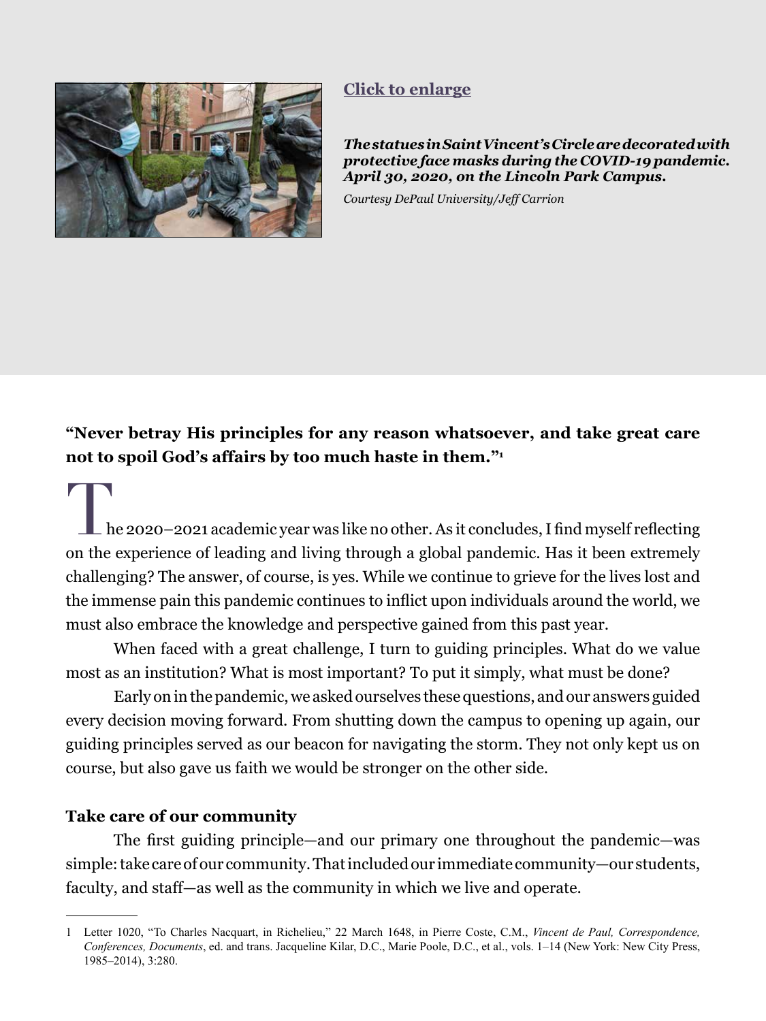<span id="page-3-0"></span>

#### **[Click to enlarge](#page-7-0)**

*The statues in Saint Vincent's Circle are decorated with protective face masks during the COVID-19 pandemic. April 30, 2020, on the Lincoln Park Campus.* 

*Courtesy DePaul University/Jeff Carrion*

**"Never betray His principles for any reason whatsoever, and take great care not to spoil God's affairs by too much haste in them."<sup>1</sup>**

he 2020–2021 academic year was like no other. As it concludes, I find myself reflecting on the experience of leading and living through a global pandemic. Has it been extremely challenging? The answer, of course, is yes. While we continue to grieve for the lives lost and the immense pain this pandemic continues to inflict upon individuals around the world, we must also embrace the knowledge and perspective gained from this past year.

When faced with a great challenge, I turn to guiding principles. What do we value most as an institution? What is most important? To put it simply, what must be done?

Early on in the pandemic, we asked ourselves these questions, and our answers guided every decision moving forward. From shutting down the campus to opening up again, our guiding principles served as our beacon for navigating the storm. They not only kept us on course, but also gave us faith we would be stronger on the other side.

#### **Take care of our community**

The first guiding principle—and our primary one throughout the pandemic—was simple: take care of our community. That included our immediate community—our students, faculty, and staff—as well as the community in which we live and operate.

<sup>1</sup> Letter 1020, "To Charles Nacquart, in Richelieu," 22 March 1648, in Pierre Coste, C.M., *Vincent de Paul, Correspondence, Conferences, Documents*, ed. and trans. Jacqueline Kilar, D.C., Marie Poole, D.C., et al., vols. 1–14 (New York: New City Press, 1985–2014), 3:280.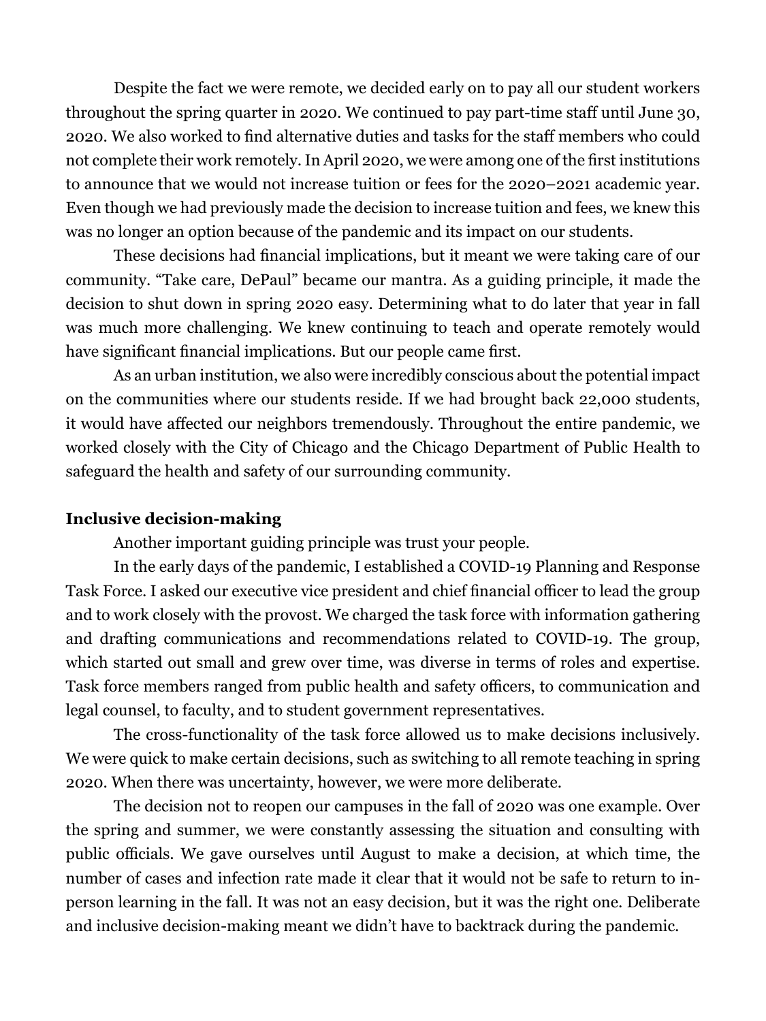Despite the fact we were remote, we decided early on to pay all our student workers throughout the spring quarter in 2020. We continued to pay part-time staff until June 30, 2020. We also worked to find alternative duties and tasks for the staff members who could not complete their work remotely. In April 2020, we were among one of the first institutions to announce that we would not increase tuition or fees for the 2020–2021 academic year. Even though we had previously made the decision to increase tuition and fees, we knew this was no longer an option because of the pandemic and its impact on our students.

These decisions had financial implications, but it meant we were taking care of our community. "Take care, DePaul" became our mantra. As a guiding principle, it made the decision to shut down in spring 2020 easy. Determining what to do later that year in fall was much more challenging. We knew continuing to teach and operate remotely would have significant financial implications. But our people came first.

As an urban institution, we also were incredibly conscious about the potential impact on the communities where our students reside. If we had brought back 22,000 students, it would have affected our neighbors tremendously. Throughout the entire pandemic, we worked closely with the City of Chicago and the Chicago Department of Public Health to safeguard the health and safety of our surrounding community.

#### **Inclusive decision-making**

Another important guiding principle was trust your people.

In the early days of the pandemic, I established a COVID-19 Planning and Response Task Force. I asked our executive vice president and chief financial officer to lead the group and to work closely with the provost. We charged the task force with information gathering and drafting communications and recommendations related to COVID-19. The group, which started out small and grew over time, was diverse in terms of roles and expertise. Task force members ranged from public health and safety officers, to communication and legal counsel, to faculty, and to student government representatives.

The cross-functionality of the task force allowed us to make decisions inclusively. We were quick to make certain decisions, such as switching to all remote teaching in spring 2020. When there was uncertainty, however, we were more deliberate.

The decision not to reopen our campuses in the fall of 2020 was one example. Over the spring and summer, we were constantly assessing the situation and consulting with public officials. We gave ourselves until August to make a decision, at which time, the number of cases and infection rate made it clear that it would not be safe to return to inperson learning in the fall. It was not an easy decision, but it was the right one. Deliberate and inclusive decision-making meant we didn't have to backtrack during the pandemic.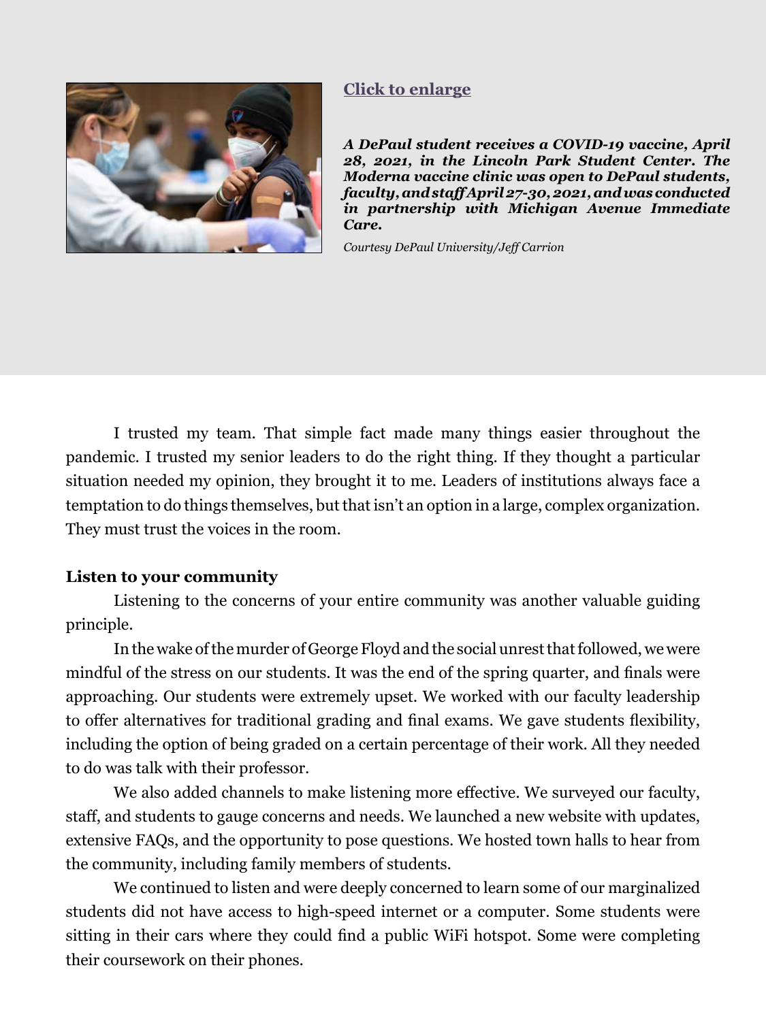<span id="page-5-0"></span>

#### **[Click to enlarge](#page-8-0)**

*A DePaul student receives a COVID-19 vaccine, April 28, 2021, in the Lincoln Park Student Center. The Moderna vaccine clinic was open to DePaul students, faculty, and staff April 27-30, 2021, and was conducted in partnership with Michigan Avenue Immediate Care.* 

*Courtesy DePaul University/Jeff Carrion*

I trusted my team. That simple fact made many things easier throughout the pandemic. I trusted my senior leaders to do the right thing. If they thought a particular situation needed my opinion, they brought it to me. Leaders of institutions always face a temptation to do things themselves, but that isn't an option in a large, complex organization. They must trust the voices in the room.

#### **Listen to your community**

Listening to the concerns of your entire community was another valuable guiding principle.

In the wake of the murder of George Floyd and the social unrest that followed, we were mindful of the stress on our students. It was the end of the spring quarter, and finals were approaching. Our students were extremely upset. We worked with our faculty leadership to offer alternatives for traditional grading and final exams. We gave students flexibility, including the option of being graded on a certain percentage of their work. All they needed to do was talk with their professor.

We also added channels to make listening more effective. We surveyed our faculty, staff, and students to gauge concerns and needs. We launched a new website with updates, extensive FAQs, and the opportunity to pose questions. We hosted town halls to hear from the community, including family members of students.

We continued to listen and were deeply concerned to learn some of our marginalized students did not have access to high-speed internet or a computer. Some students were sitting in their cars where they could find a public WiFi hotspot. Some were completing their coursework on their phones.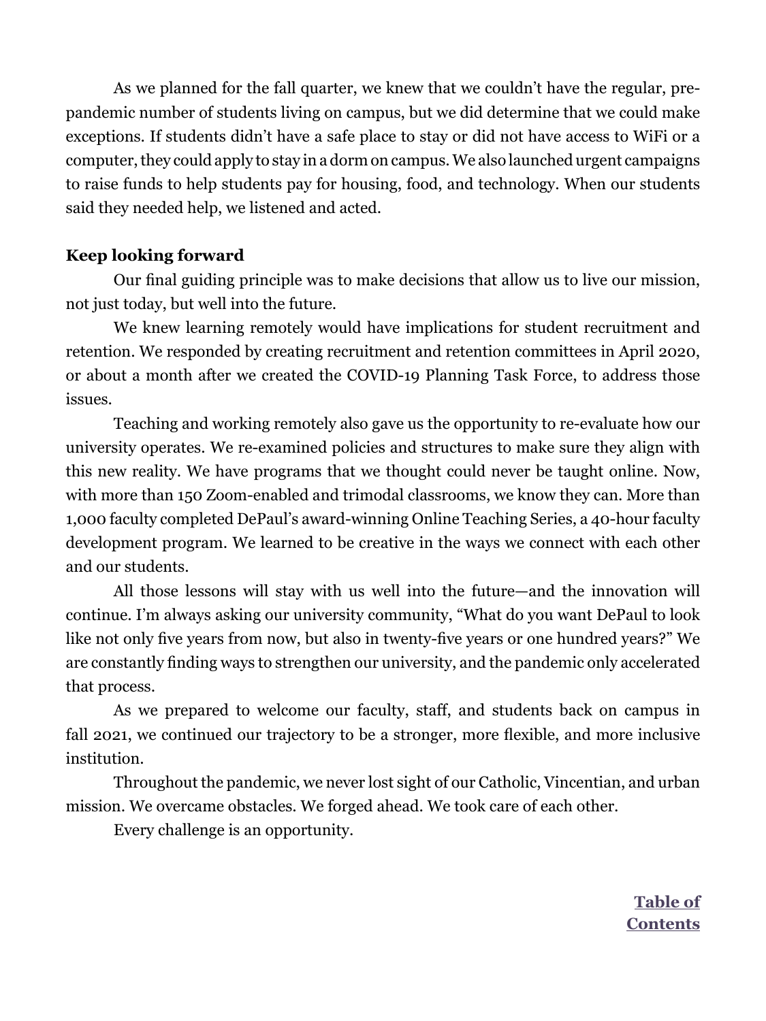As we planned for the fall quarter, we knew that we couldn't have the regular, prepandemic number of students living on campus, but we did determine that we could make exceptions. If students didn't have a safe place to stay or did not have access to WiFi or a computer, they could apply to stay in a dorm on campus. We also launched urgent campaigns to raise funds to help students pay for housing, food, and technology. When our students said they needed help, we listened and acted.

#### **Keep looking forward**

Our final guiding principle was to make decisions that allow us to live our mission, not just today, but well into the future.

We knew learning remotely would have implications for student recruitment and retention. We responded by creating recruitment and retention committees in April 2020, or about a month after we created the COVID-19 Planning Task Force, to address those issues.

Teaching and working remotely also gave us the opportunity to re-evaluate how our university operates. We re-examined policies and structures to make sure they align with this new reality. We have programs that we thought could never be taught online. Now, with more than 150 Zoom-enabled and trimodal classrooms, we know they can. More than 1,000 faculty completed DePaul's award-winning Online Teaching Series, a 40-hour faculty development program. We learned to be creative in the ways we connect with each other and our students.

All those lessons will stay with us well into the future—and the innovation will continue. I'm always asking our university community, "What do you want DePaul to look like not only five years from now, but also in twenty-five years or one hundred years?" We are constantly finding ways to strengthen our university, and the pandemic only accelerated that process.

As we prepared to welcome our faculty, staff, and students back on campus in fall 2021, we continued our trajectory to be a stronger, more flexible, and more inclusive institution.

Throughout the pandemic, we never lost sight of our Catholic, Vincentian, and urban mission. We overcame obstacles. We forged ahead. We took care of each other.

Every challenge is an opportunity.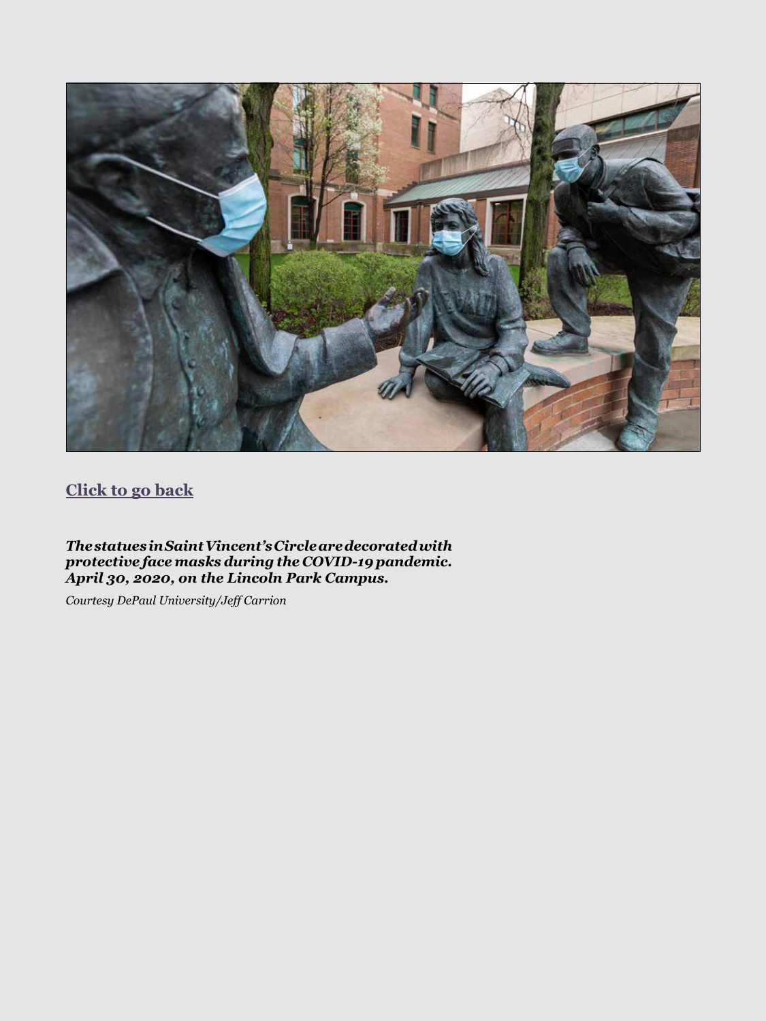<span id="page-7-0"></span>

### **[Click to go back](#page-3-0)**

*The statues in Saint Vincent's Circle are decorated with protective face masks during the COVID-19 pandemic. April 30, 2020, on the Lincoln Park Campus.* 

*Courtesy DePaul University/Jeff Carrion*